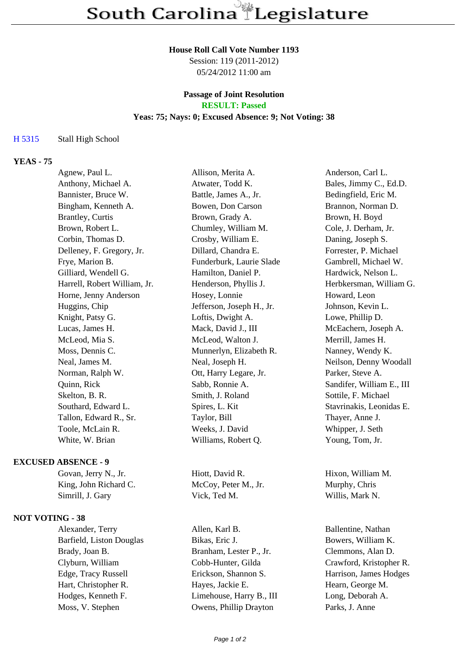#### **House Roll Call Vote Number 1193**

Session: 119 (2011-2012) 05/24/2012 11:00 am

# **Passage of Joint Resolution**

**RESULT: Passed**

## **Yeas: 75; Nays: 0; Excused Absence: 9; Not Voting: 38**

#### H 5315 Stall High School

### **YEAS - 75**

| Agnew, Paul L.               | Allison, Merita A.        | Anderson, Carl L.         |
|------------------------------|---------------------------|---------------------------|
| Anthony, Michael A.          | Atwater, Todd K.          | Bales, Jimmy C., Ed.D.    |
| Bannister, Bruce W.          | Battle, James A., Jr.     | Bedingfield, Eric M.      |
| Bingham, Kenneth A.          | Bowen, Don Carson         | Brannon, Norman D.        |
| Brantley, Curtis             | Brown, Grady A.           | Brown, H. Boyd            |
| Brown, Robert L.             | Chumley, William M.       | Cole, J. Derham, Jr.      |
| Corbin, Thomas D.            | Crosby, William E.        | Daning, Joseph S.         |
| Delleney, F. Gregory, Jr.    | Dillard, Chandra E.       | Forrester, P. Michael     |
| Frye, Marion B.              | Funderburk, Laurie Slade  | Gambrell, Michael W.      |
| Gilliard, Wendell G.         | Hamilton, Daniel P.       | Hardwick, Nelson L.       |
| Harrell, Robert William, Jr. | Henderson, Phyllis J.     | Herbkersman, William G.   |
| Horne, Jenny Anderson        | Hosey, Lonnie             | Howard, Leon              |
| Huggins, Chip                | Jefferson, Joseph H., Jr. | Johnson, Kevin L.         |
| Knight, Patsy G.             | Loftis, Dwight A.         | Lowe, Phillip D.          |
| Lucas, James H.              | Mack, David J., III       | McEachern, Joseph A.      |
| McLeod, Mia S.               | McLeod, Walton J.         | Merrill, James H.         |
| Moss, Dennis C.              | Munnerlyn, Elizabeth R.   | Nanney, Wendy K.          |
| Neal, James M.               | Neal, Joseph H.           | Neilson, Denny Woodall    |
| Norman, Ralph W.             | Ott, Harry Legare, Jr.    | Parker, Steve A.          |
| Quinn, Rick                  | Sabb, Ronnie A.           | Sandifer, William E., III |
| Skelton, B. R.               | Smith, J. Roland          | Sottile, F. Michael       |
| Southard, Edward L.          | Spires, L. Kit            | Stavrinakis, Leonidas E.  |
| Tallon, Edward R., Sr.       | Taylor, Bill              | Thayer, Anne J.           |
| Toole, McLain R.             | Weeks, J. David           | Whipper, J. Seth          |
| White, W. Brian              | Williams, Robert Q.       | Young, Tom, Jr.           |

#### **EXCUSED ABSENCE - 9**

Govan, Jerry N., Jr. Hiott, David R. Hixon, William M. King, John Richard C. McCoy, Peter M., Jr. Murphy, Chris Simrill, J. Gary Vick, Ted M. Willis, Mark N.

#### **NOT VOTING - 38**

Alexander, Terry Allen, Karl B. Ballentine, Nathan

Barfield, Liston Douglas Bikas, Eric J. Bowers, William K. Brady, Joan B. Branham, Lester P., Jr. Clemmons, Alan D. Clyburn, William Cobb-Hunter, Gilda Crawford, Kristopher R. Edge, Tracy Russell Erickson, Shannon S. Harrison, James Hodges Hart, Christopher R. Hayes, Jackie E. Hearn, George M. Hodges, Kenneth F. Limehouse, Harry B., III Long, Deborah A. Moss, V. Stephen Owens, Phillip Drayton Parks, J. Anne